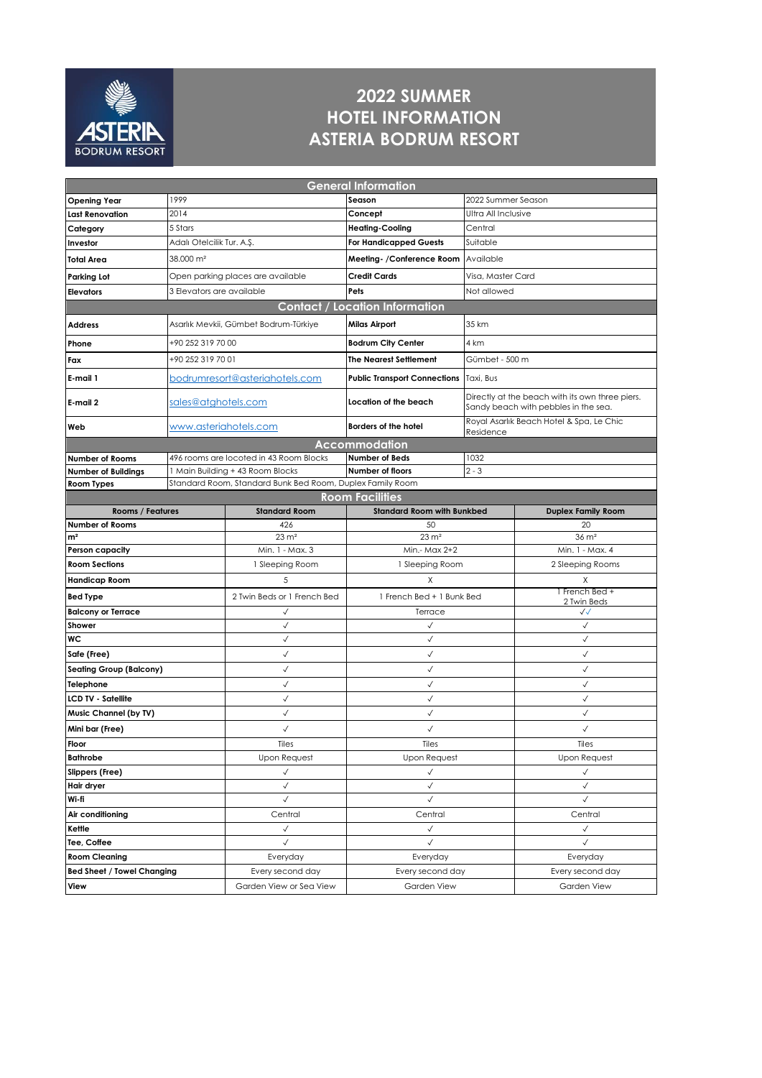

## **2022 SUMMER HOTEL INFORMATION ASTERIA BODRUM RESORT**

| <b>General Information</b>                                              |                                |                                         |                                                 |                   |                                                                                         |  |  |
|-------------------------------------------------------------------------|--------------------------------|-----------------------------------------|-------------------------------------------------|-------------------|-----------------------------------------------------------------------------------------|--|--|
| <b>Opening Year</b>                                                     | 1999                           |                                         | Season                                          |                   | 2022 Summer Season                                                                      |  |  |
| <b>Last Renovation</b>                                                  | 2014                           |                                         | Ultra All Inclusive<br>Concept                  |                   |                                                                                         |  |  |
| Category                                                                | 5 Stars                        |                                         | <b>Heating-Cooling</b><br>Central               |                   |                                                                                         |  |  |
| Investor                                                                | Adalı Otelcilik Tur. A.Ş.      |                                         | <b>For Handicapped Guests</b><br>Suitable       |                   |                                                                                         |  |  |
| <b>Total Area</b>                                                       | 38.000 m <sup>2</sup>          |                                         | Meeting- / Conference Room   Available          |                   |                                                                                         |  |  |
| Parking Lot                                                             |                                | Open parking places are available       | <b>Credit Cards</b>                             | Visa, Master Card |                                                                                         |  |  |
| <b>Elevators</b>                                                        | 3 Elevators are available      |                                         | Pets                                            | Not allowed       |                                                                                         |  |  |
|                                                                         |                                |                                         | <b>Contact / Location Information</b>           |                   |                                                                                         |  |  |
| <b>Address</b>                                                          |                                | Asarlık Mevkii, Gümbet Bodrum-Türkiye   | <b>Milas Airport</b>                            |                   |                                                                                         |  |  |
| Phone                                                                   | +90 252 319 70 00              |                                         | 4 km<br><b>Bodrum City Center</b>               |                   |                                                                                         |  |  |
| Fax                                                                     | +90 252 319 70 01              |                                         | <b>The Nearest Settlement</b><br>Gümbet - 500 m |                   |                                                                                         |  |  |
| E-mail 1                                                                | bodrumresort@asteriahotels.com |                                         | Public Transport Connections   Taxi, Bus        |                   |                                                                                         |  |  |
| E-mail 2                                                                | sales@atghotels.com            |                                         | Location of the beach                           |                   | Directly at the beach with its own three piers.<br>Sandy beach with pebbles in the sea. |  |  |
| Web                                                                     | www.asteriahotels.com          |                                         | Borders of the hotel<br>Residence               |                   | Royal Asarlık Beach Hotel & Spa, Le Chic                                                |  |  |
|                                                                         |                                |                                         | Accommodation                                   |                   |                                                                                         |  |  |
| <b>Number of Rooms</b>                                                  |                                | 496 rooms are locoted in 43 Room Blocks | <b>Number of Beds</b>                           | 1032              |                                                                                         |  |  |
| <b>Number of Buildings</b>                                              |                                | 1 Main Building + 43 Room Blocks        | Number of floors<br>$2 - 3$                     |                   |                                                                                         |  |  |
| Standard Room, Standard Bunk Bed Room, Duplex Family Room<br>Room Types |                                |                                         |                                                 |                   |                                                                                         |  |  |
|                                                                         |                                |                                         | <b>Room Facilities</b>                          |                   |                                                                                         |  |  |
| <b>Rooms / Features</b>                                                 |                                | <b>Standard Room</b>                    | <b>Standard Room with Bunkbed</b>               |                   | <b>Duplex Family Room</b>                                                               |  |  |
| <b>Number of Rooms</b>                                                  |                                | 426<br>$23 \text{ m}^2$                 | 50<br>$23 \text{ m}^2$                          |                   | 20<br>$36 \text{ m}^2$                                                                  |  |  |
| m <sup>2</sup><br>Person capacity                                       |                                | Min. 1 - Max. 3                         | Min.- Max 2+2                                   |                   | Min. 1 - Max. 4                                                                         |  |  |
| <b>Room Sections</b>                                                    |                                | 1 Sleeping Room                         | 1 Sleeping Room                                 |                   | 2 Sleeping Rooms                                                                        |  |  |
| <b>Handicap Room</b>                                                    |                                |                                         | X                                               |                   | X                                                                                       |  |  |
| <b>Bed Type</b>                                                         |                                |                                         | 1 French Bed + 1 Bunk Bed                       |                   | 1 French Bed +<br>2 Twin Beds                                                           |  |  |
| <b>Balcony or Terrace</b>                                               |                                | $\checkmark$                            | Terrace                                         |                   | $\checkmark$                                                                            |  |  |
| Shower                                                                  |                                | $\checkmark$                            | $\checkmark$                                    |                   | $\checkmark$                                                                            |  |  |
| WС                                                                      |                                | $\checkmark$                            | $\checkmark$                                    |                   | $\checkmark$                                                                            |  |  |
| Safe (Free)                                                             |                                | $\checkmark$                            | $\checkmark$                                    |                   | √                                                                                       |  |  |
| <b>Seating Group (Balcony)</b>                                          |                                | √                                       | $\checkmark$                                    |                   | √                                                                                       |  |  |
| Telephone                                                               |                                | $\checkmark$                            | $\checkmark$                                    |                   | $\checkmark$                                                                            |  |  |
| <b>LCD TV - Satellite</b>                                               |                                | √                                       | $\checkmark$                                    |                   | √                                                                                       |  |  |
| Music Channel (by TV)                                                   |                                | $\checkmark$                            | $\checkmark$                                    |                   | $\checkmark$                                                                            |  |  |
| Mini bar (Free)                                                         |                                | ✓                                       | √                                               |                   | ✓                                                                                       |  |  |
| Floor                                                                   |                                | Tiles                                   | Tiles                                           |                   | Tiles                                                                                   |  |  |
| <b>Bathrobe</b>                                                         |                                | <b>Upon Request</b>                     | <b>Upon Request</b>                             |                   | <b>Upon Request</b>                                                                     |  |  |
| Slippers (Free)                                                         |                                | $\checkmark$                            | $\checkmark$                                    |                   | $\checkmark$                                                                            |  |  |
| Hair dryer                                                              |                                | $\checkmark$<br>✓                       |                                                 |                   | ✓                                                                                       |  |  |
| Wi-fi                                                                   |                                | $\checkmark$                            | $\checkmark$                                    |                   | $\checkmark$                                                                            |  |  |
| Air conditioning                                                        |                                | Central                                 | Central                                         |                   | Central                                                                                 |  |  |
| Kettle                                                                  |                                | $\checkmark$                            | $\checkmark$                                    |                   | $\checkmark$                                                                            |  |  |
| Tee, Coffee                                                             |                                | $\checkmark$                            | $\checkmark$                                    |                   | $\checkmark$                                                                            |  |  |
| <b>Room Cleaning</b>                                                    |                                | Everyday                                | Everyday                                        |                   | Everyday                                                                                |  |  |
| <b>Bed Sheet / Towel Changing</b>                                       |                                |                                         |                                                 |                   |                                                                                         |  |  |
|                                                                         |                                | Every second day                        | Every second day                                |                   | Every second day                                                                        |  |  |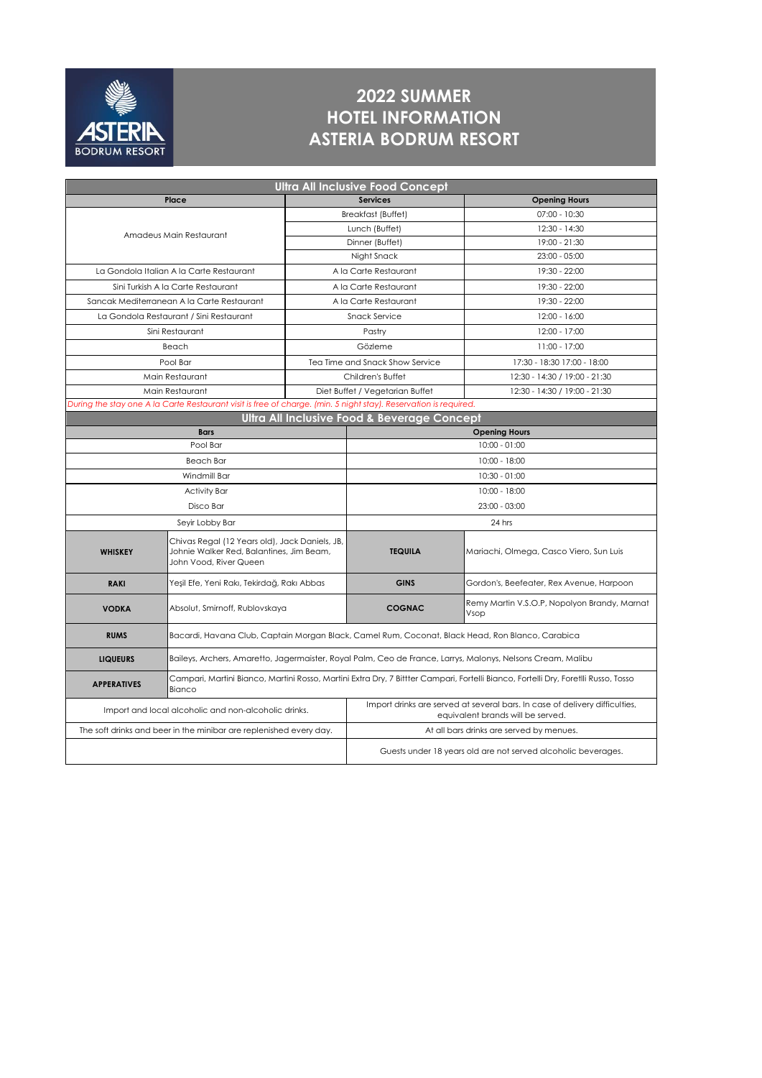

## **2022 SUMMER HOTEL INFORMATION ASTERIA BODRUM RESORT**

| <b>Ultra All Inclusive Food Concept</b>                                                                          |                                                                                                                                              |                                 |                                                                                                                  |                                                      |  |  |  |
|------------------------------------------------------------------------------------------------------------------|----------------------------------------------------------------------------------------------------------------------------------------------|---------------------------------|------------------------------------------------------------------------------------------------------------------|------------------------------------------------------|--|--|--|
|                                                                                                                  | Place                                                                                                                                        |                                 | <b>Services</b>                                                                                                  | <b>Opening Hours</b>                                 |  |  |  |
|                                                                                                                  |                                                                                                                                              | Breakfast (Buffet)              |                                                                                                                  | 07:00 - 10:30                                        |  |  |  |
|                                                                                                                  | Amadeus Main Restaurant                                                                                                                      | Lunch (Buffet)                  |                                                                                                                  | 12:30 - 14:30                                        |  |  |  |
|                                                                                                                  |                                                                                                                                              |                                 | Dinner (Buffet)                                                                                                  | 19:00 - 21:30                                        |  |  |  |
|                                                                                                                  |                                                                                                                                              |                                 | Night Snack                                                                                                      | $23:00 - 05:00$                                      |  |  |  |
|                                                                                                                  | La Gondola Italian A la Carte Restaurant                                                                                                     |                                 | A la Carte Restaurant                                                                                            | 19:30 - 22:00                                        |  |  |  |
|                                                                                                                  | Sini Turkish A la Carte Restaurant                                                                                                           | A la Carte Restaurant           |                                                                                                                  | 19:30 - 22:00                                        |  |  |  |
|                                                                                                                  | Sancak Mediterranean A la Carte Restaurant                                                                                                   | A la Carte Restaurant           |                                                                                                                  | 19:30 - 22:00                                        |  |  |  |
|                                                                                                                  | La Gondola Restaurant / Sini Restaurant                                                                                                      | Snack Service                   |                                                                                                                  | $12:00 - 16:00$                                      |  |  |  |
|                                                                                                                  | Sini Restaurant                                                                                                                              | Pastry                          |                                                                                                                  | 12:00 - 17:00                                        |  |  |  |
|                                                                                                                  | Beach                                                                                                                                        | Gözleme                         |                                                                                                                  | 11:00 - 17:00                                        |  |  |  |
|                                                                                                                  | Pool Bar                                                                                                                                     | Tea Time and Snack Show Service |                                                                                                                  | 17:30 - 18:30 17:00 - 18:00                          |  |  |  |
|                                                                                                                  | Main Restaurant                                                                                                                              | Children's Buffet               |                                                                                                                  | 12:30 - 14:30 / 19:00 - 21:30                        |  |  |  |
| Main Restaurant                                                                                                  |                                                                                                                                              | Diet Buffet / Vegetarian Buffet |                                                                                                                  | 12:30 - 14:30 / 19:00 - 21:30                        |  |  |  |
| During the stay one A la Carte Restaurant visit is free of charge. (min. 5 night stay). Reservation is required. |                                                                                                                                              |                                 |                                                                                                                  |                                                      |  |  |  |
| Ultra All Inclusive Food & Beverage Concept                                                                      |                                                                                                                                              |                                 |                                                                                                                  |                                                      |  |  |  |
|                                                                                                                  | <b>Bars</b>                                                                                                                                  |                                 | <b>Opening Hours</b>                                                                                             |                                                      |  |  |  |
| Pool Bar                                                                                                         |                                                                                                                                              |                                 | $10:00 - 01:00$                                                                                                  |                                                      |  |  |  |
| <b>Beach Bar</b>                                                                                                 |                                                                                                                                              |                                 | $10:00 - 18:00$                                                                                                  |                                                      |  |  |  |
| Windmill Bar                                                                                                     |                                                                                                                                              |                                 | $10:30 - 01:00$                                                                                                  |                                                      |  |  |  |
| <b>Activity Bar</b>                                                                                              |                                                                                                                                              |                                 | 10:00 - 18:00                                                                                                    |                                                      |  |  |  |
| Disco Bar                                                                                                        |                                                                                                                                              |                                 | $23:00 - 03:00$                                                                                                  |                                                      |  |  |  |
|                                                                                                                  | Seyir Lobby Bar                                                                                                                              |                                 | 24 hrs                                                                                                           |                                                      |  |  |  |
| <b>WHISKEY</b>                                                                                                   | Chivas Regal (12 Years old), Jack Daniels, JB,<br>Johnie Walker Red, Balantines, Jim Beam,<br>John Vood, River Queen                         |                                 | <b>TEQUILA</b>                                                                                                   | Mariachi, Olmega, Casco Viero, Sun Luis              |  |  |  |
| <b>RAKI</b>                                                                                                      | Yeşil Efe, Yeni Rakı, Tekirdağ, Rakı Abbas                                                                                                   |                                 | <b>GINS</b>                                                                                                      | Gordon's, Beefeater, Rex Avenue, Harpoon             |  |  |  |
| <b>VODKA</b>                                                                                                     | Absolut, Smirnoff, Rublovskaya                                                                                                               |                                 | <b>COGNAC</b>                                                                                                    | Remy Martin V.S.O.P, Nopolyon Brandy, Marnat<br>Vsop |  |  |  |
| <b>RUMS</b>                                                                                                      | Bacardi, Havana Club, Captain Morgan Black, Camel Rum, Coconat, Black Head, Ron Blanco, Carabica                                             |                                 |                                                                                                                  |                                                      |  |  |  |
| <b>LIQUEURS</b>                                                                                                  | Baileys, Archers, Amaretto, Jagermaister, Royal Palm, Ceo de France, Larrys, Malonys, Nelsons Cream, Malibu                                  |                                 |                                                                                                                  |                                                      |  |  |  |
| <b>APPERATIVES</b>                                                                                               | Campari, Martini Bianco, Martini Rosso, Martini Extra Dry, 7 Bittter Campari, Fortelli Bianco, Fortelli Dry, Foretlli Russo, Tosso<br>Bianco |                                 |                                                                                                                  |                                                      |  |  |  |
| Import and local alcoholic and non-alcoholic drinks.                                                             |                                                                                                                                              |                                 | Import drinks are served at several bars. In case of delivery difficulties,<br>equivalent brands will be served. |                                                      |  |  |  |
| The soft drinks and beer in the minibar are replenished every day.                                               |                                                                                                                                              |                                 | At all bars drinks are served by menues.                                                                         |                                                      |  |  |  |
|                                                                                                                  |                                                                                                                                              |                                 | Guests under 18 years old are not served alcoholic beverages.                                                    |                                                      |  |  |  |